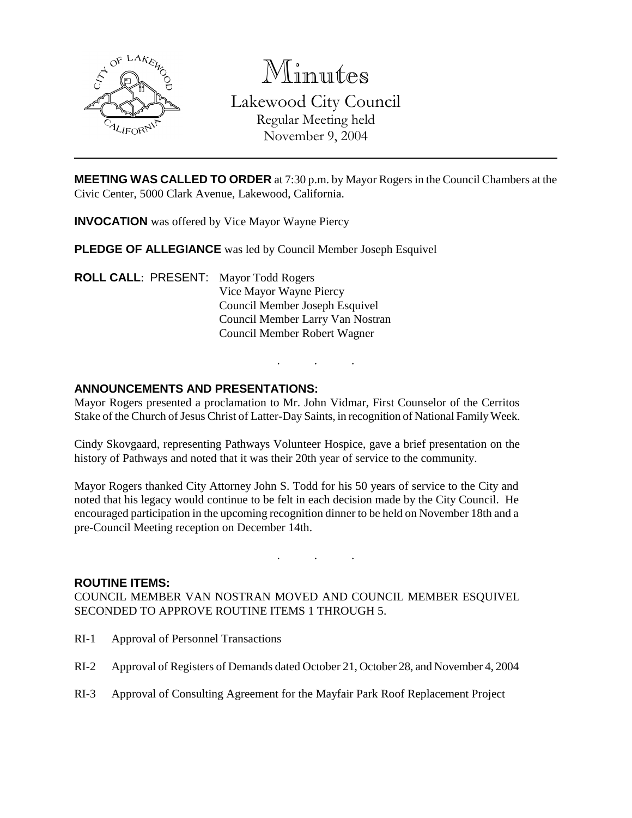

Minutes Lakewood City Council

> Regular Meeting held November 9, 2004

**MEETING WAS CALLED TO ORDER** at 7:30 p.m. by Mayor Rogers in the Council Chambers at the Civic Center, 5000 Clark Avenue, Lakewood, California.

**INVOCATION** was offered by Vice Mayor Wayne Piercy

**PLEDGE OF ALLEGIANCE** was led by Council Member Joseph Esquivel

**ROLL CALL**: PRESENT: Mayor Todd Rogers Vice Mayor Wayne Piercy Council Member Joseph Esquivel Council Member Larry Van Nostran Council Member Robert Wagner

# **ANNOUNCEMENTS AND PRESENTATIONS:**

Mayor Rogers presented a proclamation to Mr. John Vidmar, First Counselor of the Cerritos Stake of the Church of Jesus Christ of Latter-Day Saints, in recognition of National Family Week.

. . .

Cindy Skovgaard, representing Pathways Volunteer Hospice, gave a brief presentation on the history of Pathways and noted that it was their 20th year of service to the community.

Mayor Rogers thanked City Attorney John S. Todd for his 50 years of service to the City and noted that his legacy would continue to be felt in each decision made by the City Council. He encouraged participation in the upcoming recognition dinner to be held on November 18th and a pre-Council Meeting reception on December 14th.

. . .

#### **ROUTINE ITEMS:**

COUNCIL MEMBER VAN NOSTRAN MOVED AND COUNCIL MEMBER ESQUIVEL SECONDED TO APPROVE ROUTINE ITEMS 1 THROUGH 5.

- RI-1 Approval of Personnel Transactions
- RI-2 Approval of Registers of Demands dated October 21, October 28, and November 4, 2004
- RI-3 Approval of Consulting Agreement for the Mayfair Park Roof Replacement Project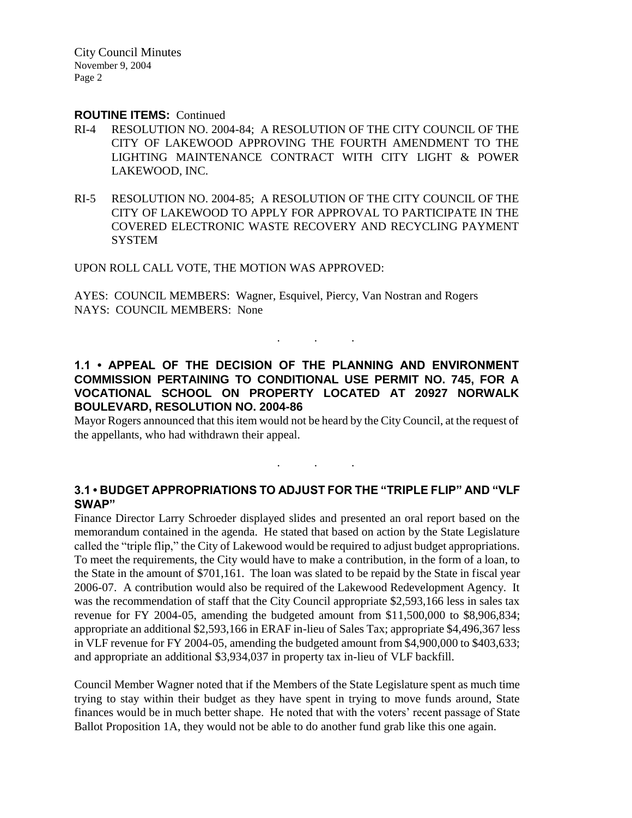City Council Minutes November 9, 2004 Page 2

#### **ROUTINE ITEMS:** Continued

- RI-4 RESOLUTION NO. 2004-84; A RESOLUTION OF THE CITY COUNCIL OF THE CITY OF LAKEWOOD APPROVING THE FOURTH AMENDMENT TO THE LIGHTING MAINTENANCE CONTRACT WITH CITY LIGHT & POWER LAKEWOOD, INC.
- RI-5 RESOLUTION NO. 2004-85; A RESOLUTION OF THE CITY COUNCIL OF THE CITY OF LAKEWOOD TO APPLY FOR APPROVAL TO PARTICIPATE IN THE COVERED ELECTRONIC WASTE RECOVERY AND RECYCLING PAYMENT **SYSTEM**

UPON ROLL CALL VOTE, THE MOTION WAS APPROVED:

AYES: COUNCIL MEMBERS: Wagner, Esquivel, Piercy, Van Nostran and Rogers NAYS: COUNCIL MEMBERS: None

# **1.1 • APPEAL OF THE DECISION OF THE PLANNING AND ENVIRONMENT COMMISSION PERTAINING TO CONDITIONAL USE PERMIT NO. 745, FOR A VOCATIONAL SCHOOL ON PROPERTY LOCATED AT 20927 NORWALK BOULEVARD, RESOLUTION NO. 2004-86**

. . .

Mayor Rogers announced that this item would not be heard by the City Council, at the request of the appellants, who had withdrawn their appeal.

### **3.1 • BUDGET APPROPRIATIONS TO ADJUST FOR THE "TRIPLE FLIP" AND "VLF SWAP"**

. . .

Finance Director Larry Schroeder displayed slides and presented an oral report based on the memorandum contained in the agenda. He stated that based on action by the State Legislature called the "triple flip," the City of Lakewood would be required to adjust budget appropriations. To meet the requirements, the City would have to make a contribution, in the form of a loan, to the State in the amount of \$701,161. The loan was slated to be repaid by the State in fiscal year 2006-07. A contribution would also be required of the Lakewood Redevelopment Agency. It was the recommendation of staff that the City Council appropriate \$2,593,166 less in sales tax revenue for FY 2004-05, amending the budgeted amount from \$11,500,000 to \$8,906,834; appropriate an additional \$2,593,166 in ERAF in-lieu of Sales Tax; appropriate \$4,496,367 less in VLF revenue for FY 2004-05, amending the budgeted amount from \$4,900,000 to \$403,633; and appropriate an additional \$3,934,037 in property tax in-lieu of VLF backfill.

Council Member Wagner noted that if the Members of the State Legislature spent as much time trying to stay within their budget as they have spent in trying to move funds around, State finances would be in much better shape. He noted that with the voters' recent passage of State Ballot Proposition 1A, they would not be able to do another fund grab like this one again.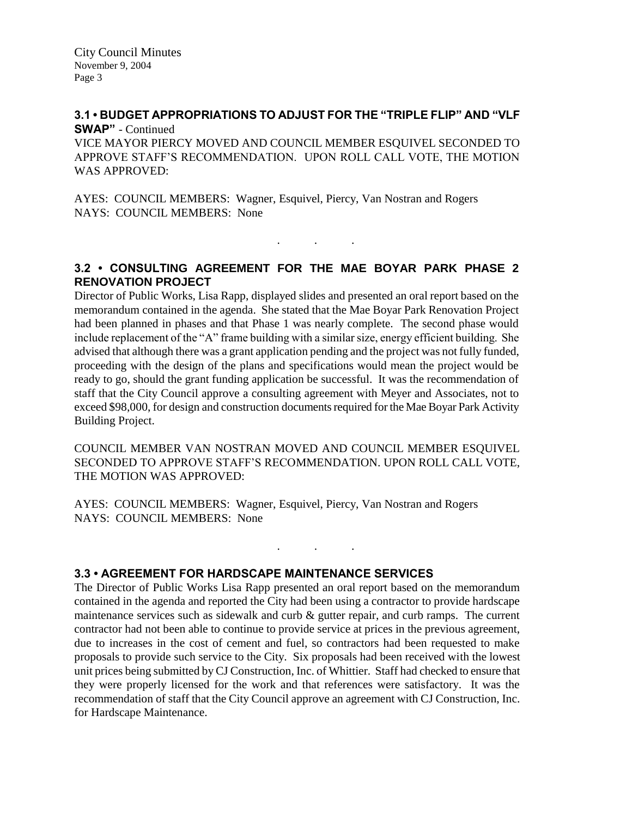City Council Minutes November 9, 2004 Page 3

#### **3.1 • BUDGET APPROPRIATIONS TO ADJUST FOR THE "TRIPLE FLIP" AND "VLF SWAP"** - Continued

VICE MAYOR PIERCY MOVED AND COUNCIL MEMBER ESQUIVEL SECONDED TO APPROVE STAFF'S RECOMMENDATION. UPON ROLL CALL VOTE, THE MOTION WAS APPROVED:

AYES: COUNCIL MEMBERS: Wagner, Esquivel, Piercy, Van Nostran and Rogers NAYS: COUNCIL MEMBERS: None

# **3.2 • CONSULTING AGREEMENT FOR THE MAE BOYAR PARK PHASE 2 RENOVATION PROJECT**

. . .

Director of Public Works, Lisa Rapp, displayed slides and presented an oral report based on the memorandum contained in the agenda. She stated that the Mae Boyar Park Renovation Project had been planned in phases and that Phase 1 was nearly complete. The second phase would include replacement of the "A" frame building with a similar size, energy efficient building. She advised that although there was a grant application pending and the project was not fully funded, proceeding with the design of the plans and specifications would mean the project would be ready to go, should the grant funding application be successful. It was the recommendation of staff that the City Council approve a consulting agreement with Meyer and Associates, not to exceed \$98,000, for design and construction documents required for the Mae Boyar Park Activity Building Project.

COUNCIL MEMBER VAN NOSTRAN MOVED AND COUNCIL MEMBER ESQUIVEL SECONDED TO APPROVE STAFF'S RECOMMENDATION. UPON ROLL CALL VOTE, THE MOTION WAS APPROVED:

. . .

AYES: COUNCIL MEMBERS: Wagner, Esquivel, Piercy, Van Nostran and Rogers NAYS: COUNCIL MEMBERS: None

### **3.3 • AGREEMENT FOR HARDSCAPE MAINTENANCE SERVICES**

The Director of Public Works Lisa Rapp presented an oral report based on the memorandum contained in the agenda and reported the City had been using a contractor to provide hardscape maintenance services such as sidewalk and curb  $\&$  gutter repair, and curb ramps. The current contractor had not been able to continue to provide service at prices in the previous agreement, due to increases in the cost of cement and fuel, so contractors had been requested to make proposals to provide such service to the City. Six proposals had been received with the lowest unit prices being submitted by CJ Construction, Inc. of Whittier. Staff had checked to ensure that they were properly licensed for the work and that references were satisfactory. It was the recommendation of staff that the City Council approve an agreement with CJ Construction, Inc. for Hardscape Maintenance.